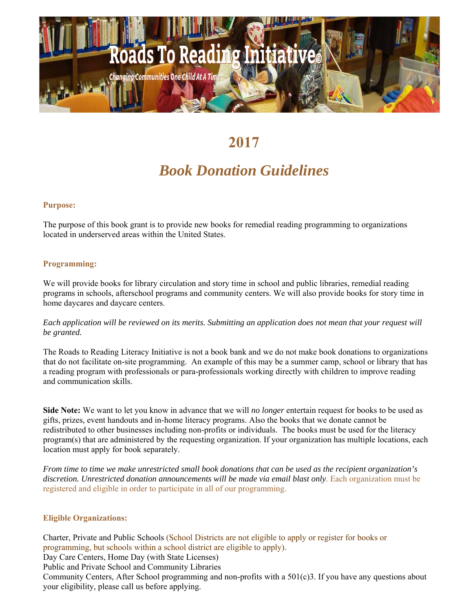

# **2017**

## *Book Donation Guidelines*

#### **Purpose:**

The purpose of this book grant is to provide new books for remedial reading programming to organizations located in underserved areas within the United States.

### **Programming:**

We will provide books for library circulation and story time in school and public libraries, remedial reading programs in schools, afterschool programs and community centers. We will also provide books for story time in home daycares and daycare centers.

*Each application will be reviewed on its merits. Submitting an application does not mean that your request will be granted.*

The Roads to Reading Literacy Initiative is not a book bank and we do not make book donations to organizations that do not facilitate on-site programming. An example of this may be a summer camp, school or library that has a reading program with professionals or para-professionals working directly with children to improve reading and communication skills.

**Side Note:** We want to let you know in advance that we will *no longer* entertain request for books to be used as gifts, prizes, event handouts and in-home literacy programs. Also the books that we donate cannot be redistributed to other businesses including non-profits or individuals. The books must be used for the literacy program(s) that are administered by the requesting organization. If your organization has multiple locations, each location must apply for book separately.

*From time to time we make unrestricted small book donations that can be used as the recipient organization's*  discretion. Unrestricted donation announcements will be made via email blast only. Each organization must be registered and eligible in order to participate in all of our programming.

#### **Eligible Organizations:**

Charter, Private and Public Schools (School Districts are not eligible to apply or register for books or programming, but schools within a school district are eligible to apply). Day Care Centers, Home Day (with State Licenses) Public and Private School and Community Libraries Community Centers, After School programming and non-profits with a 501(c)3. If you have any questions about your eligibility, please call us before applying.